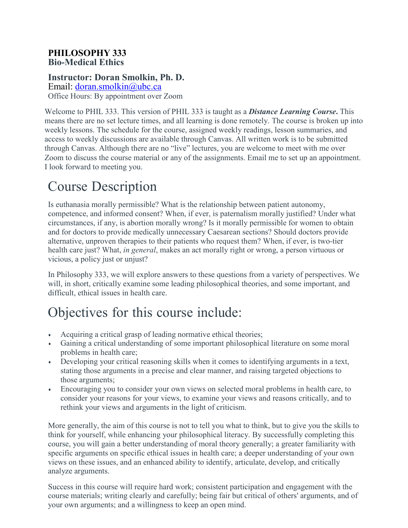#### **PHILOSOPHY 333 Bio-Medical Ethics**

### **Instructor: Doran Smolkin, Ph. D.**

Email: [doran.smolkin@ubc.ca](mailto:doran.smolkin@ubc.ca) Office Hours: By appointment over Zoom

Welcome to PHIL 333. This version of PHIL 333 is taught as a *Distance Learning Course***.** This means there are no set lecture times, and all learning is done remotely. The course is broken up into weekly lessons. The schedule for the course, assigned weekly readings, lesson summaries, and access to weekly discussions are available through Canvas. All written work is to be submitted through Canvas. Although there are no "live" lectures, you are welcome to meet with me over Zoom to discuss the course material or any of the assignments. Email me to set up an appointment. I look forward to meeting you.

# Course Description

Is euthanasia morally permissible? What is the relationship between patient autonomy, competence, and informed consent? When, if ever, is paternalism morally justified? Under what circumstances, if any, is abortion morally wrong? Is it morally permissible for women to obtain and for doctors to provide medically unnecessary Caesarean sections? Should doctors provide alternative, unproven therapies to their patients who request them? When, if ever, is two-tier health care just? What, *in general*, makes an act morally right or wrong, a person virtuous or vicious, a policy just or unjust?

In Philosophy 333, we will explore answers to these questions from a variety of perspectives. We will, in short, critically examine some leading philosophical theories, and some important, and difficult, ethical issues in health care.

# Objectives for this course include:

- Acquiring a critical grasp of leading normative ethical theories;
- Gaining a critical understanding of some important philosophical literature on some moral problems in health care;
- Developing your critical reasoning skills when it comes to identifying arguments in a text, stating those arguments in a precise and clear manner, and raising targeted objections to those arguments;
- Encouraging you to consider your own views on selected moral problems in health care, to consider your reasons for your views, to examine your views and reasons critically, and to rethink your views and arguments in the light of criticism.

More generally, the aim of this course is not to tell you what to think, but to give you the skills to think for yourself, while enhancing your philosophical literacy. By successfully completing this course, you will gain a better understanding of moral theory generally; a greater familiarity with specific arguments on specific ethical issues in health care; a deeper understanding of your own views on these issues, and an enhanced ability to identify, articulate, develop, and critically analyze arguments.

Success in this course will require hard work; consistent participation and engagement with the course materials; writing clearly and carefully; being fair but critical of others' arguments, and of your own arguments; and a willingness to keep an open mind.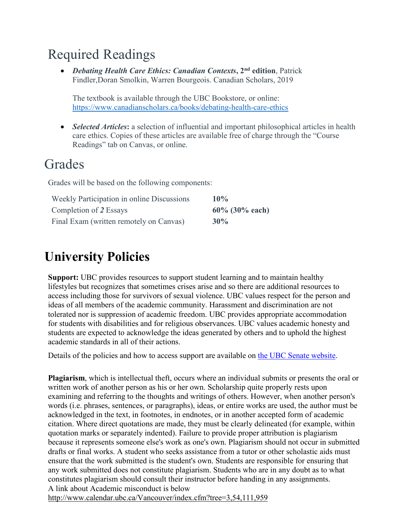# Required Readings

• *Debating Health Care Ethics: Canadian Contexts***, 2nd edition**, Patrick Findler, Doran Smolkin, Warren Bourgeois. Canadian Scholars, 2019

The textbook is available through the UBC Bookstore, or online: <https://www.canadianscholars.ca/books/debating-health-care-ethics>

• *Selected Articles*: a selection of influential and important philosophical articles in health care ethics. Copies of these articles are available free of charge through the "Course Readings" tab on Canvas, or online.

## **Grades**

Grades will be based on the following components:

| Weekly Participation in online Discussions | 10%               |
|--------------------------------------------|-------------------|
| Completion of 2 Essays                     | $60\%$ (30% each) |
| Final Exam (written remotely on Canvas)    | $30\%$            |

## **University Policies**

**Support:** UBC provides resources to support student learning and to maintain healthy lifestyles but recognizes that sometimes crises arise and so there are additional resources to access including those for survivors of sexual violence. UBC values respect for the person and ideas of all members of the academic community. Harassment and discrimination are not tolerated nor is suppression of academic freedom. UBC provides appropriate accommodation for students with disabilities and for religious observances. UBC values academic honesty and students are expected to acknowledge the ideas generated by others and to uphold the highest academic standards in all of their actions.

Details of the policies and how to access support are available on the UBC Senate website.

**Plagiarism**, which is intellectual theft, occurs where an individual submits or presents the oral or written work of another person as his or her own. Scholarship quite properly rests upon examining and referring to the thoughts and writings of others. However, when another person's words (i.e. phrases, sentences, or paragraphs), ideas, or entire works are used, the author must be acknowledged in the text, in footnotes, in endnotes, or in another accepted form of academic citation. Where direct quotations are made, they must be clearly delineated (for example, within quotation marks or separately indented). Failure to provide proper attribution is plagiarism because it represents someone else's work as one's own. Plagiarism should not occur in submitted drafts or final works. A student who seeks assistance from a tutor or other scholastic aids must ensure that the work submitted is the student's own. Students are responsible for ensuring that any work submitted does not constitute plagiarism. Students who are in any doubt as to what constitutes plagiarism should consult their instructor before handing in any assignments. A link about Academic misconduct is below

[http://www.calendar.ubc.ca/Vancouver/index.cfm?tree=3,54,111,959](http://www.calendar.ubc.ca/Vancouver/index.cfm?tree=3%2C54%2C111%2C959)